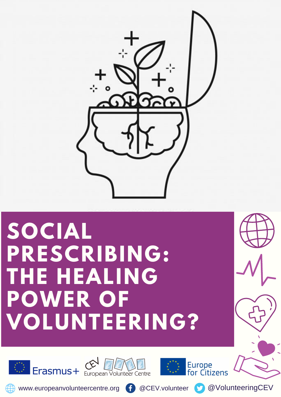

# **SOCIAL PRESCRIBING: THE HEALING POWER OF VOLUNTEERING?**









www.europeanvolunteercentre.org f @CEV.volunteer @VolunteeringCEV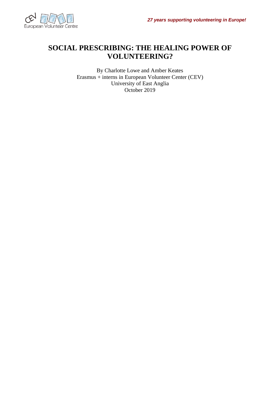

#### **SOCIAL PRESCRIBING: THE HEALING POWER OF VOLUNTEERING?**

By Charlotte Lowe and Amber Keates Erasmus + interns in European Volunteer Center (CEV) University of East Anglia October 2019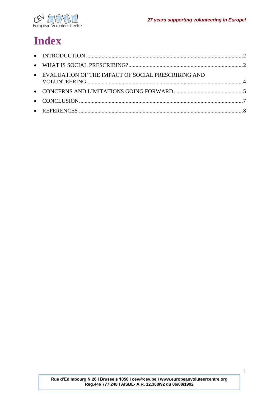

# **Index**

| • EVALUATION OF THE IMPACT OF SOCIAL PRESCRIBING AND |  |
|------------------------------------------------------|--|
|                                                      |  |
|                                                      |  |
|                                                      |  |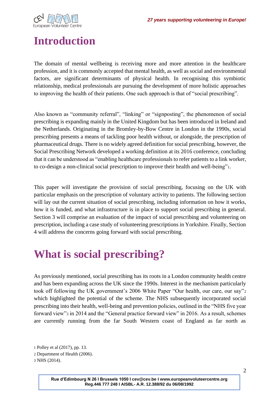

## <span id="page-3-0"></span>**Introduction**

The domain of mental wellbeing is receiving more and more attention in the healthcare profession, and it is commonly accepted that mental health, as well as social and environmental factors, are significant determinants of physical health. In recognising this symbiotic relationship, medical professionals are pursuing the development of more holistic approaches to improving the health of their patients. One such approach is that of "social prescribing".

Also known as "community referral", "linking" or "signposting", the phenomenon of social prescribing is expanding mainly in the United Kingdom but has been introduced in Ireland and the Netherlands. Originating in the Bromley-by-Bow Centre in London in the 1990s, social prescribing presents a means of tackling poor health without, or alongside, the prescription of pharmaceutical drugs. There is no widely agreed definition for social prescribing, however, the Social Prescribing Network developed a working definition at its 2016 conference, concluding that it can be understood as "enabling healthcare professionals to refer patients to a link worker, to co-design a non-clinical social prescription to improve their health and well-being"1.

This paper will investigate the provision of social prescribing, focusing on the UK with particular emphasis on the prescription of voluntary activity to patients. The following section will lay out the current situation of social prescribing, including information on how it works, how it is funded, and what infrastructure is in place to support social prescribing in general. Section 3 will comprise an evaluation of the impact of social prescribing and volunteering on prescription, including a case study of volunteering prescriptions in Yorkshire. Finally, Section 4 will address the concerns going forward with social prescribing.

#### <span id="page-3-1"></span>**What is social prescribing?**

As previously mentioned, social prescribing has its roots in a London community health centre and has been expanding across the UK since the 1990s. Interest in the mechanism particularly took off following the UK government's 2006 White Paper "Our health, our care, our say"<sup>2</sup> which highlighted the potential of the scheme. The NHS subsequently incorporated social prescribing into their health, well-being and prevention policies, outlined in the "NHS five year forward view"<sup>3</sup> in 2014 and the "General practice forward view" in 2016. As a result, schemes are currently running from the far South Western coast of England as far north as

<sup>1</sup> Polley et al (2017), pp. 13.

<sup>2</sup> Department of Health (2006).

<sup>3</sup> NHS (2014).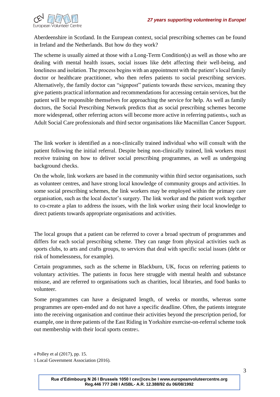

Aberdeenshire in Scotland. In the European context, social prescribing schemes can be found in Ireland and the Netherlands. But how do they work?

The scheme is usually aimed at those with a Long-Term Condition(s) as well as those who are dealing with mental health issues, social issues like debt affecting their well-being, and loneliness and isolation. The process begins with an appointment with the patient's local family doctor or healthcare practitioner, who then refers patients to social prescribing services. Alternatively, the family doctor can "signpost" patients towards these services, meaning they give patients practical information and recommendations for accessing certain services, but the patient will be responsible themselves for approaching the service for help. As well as family doctors, the Social Prescribing Network predicts that as social prescribing schemes become more widespread, other referring actors will become more active in referring patients4, such as Adult Social Care professionals and third sector organisations like Macmillan Cancer Support.

The link worker is identified as a non-clinically trained individual who will consult with the patient following the initial referral. Despite being non-clinically trained, link workers must receive training on how to deliver social prescribing programmes, as well as undergoing background checks.

On the whole, link workers are based in the community within third sector organisations, such as volunteer centres, and have strong local knowledge of community groups and activities. In some social prescribing schemes, the link workers may be employed within the primary care organisation, such as the local doctor's surgery. The link worker and the patient work together to co-create a plan to address the issues, with the link worker using their local knowledge to direct patients towards appropriate organisations and activities.

The local groups that a patient can be referred to cover a broad spectrum of programmes and differs for each social prescribing scheme. They can range from physical activities such as sports clubs, to arts and crafts groups, to services that deal with specific social issues (debt or risk of homelessness, for example).

Certain programmes, such as the scheme in Blackburn, UK, focus on referring patients to voluntary activities. The patients in focus here struggle with mental health and substance misuse, and are referred to organisations such as charities, local libraries, and food banks to volunteer.

Some programmes can have a designated length, of weeks or months, whereas some programmes are open-ended and do not have a specific deadline. Often, the patients integrate into the receiving organisation and continue their activities beyond the prescription period, for example, one in three patients of the East Riding in Yorkshire exercise-on-referral scheme took out membership with their local sports centre5.

<sup>4</sup> Polley et al (2017), pp. 15.

<sup>5</sup> Local Government Association (2016).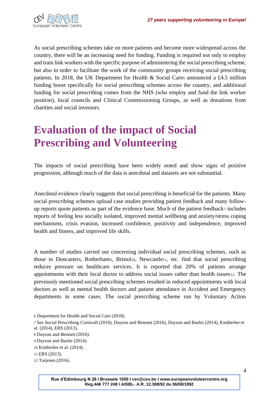

As social prescribing schemes take on more patients and become more widespread across the country, there will be an increasing need for funding. Funding is required not only to employ and train link workers with the specific purpose of administering the social prescribing scheme, but also in order to facilitate the work of the community groups receiving social prescribing patients. In 2018, the UK Department for Health & Social Care<sup>6</sup> announced a £4.5 million funding boost specifically for social prescribing schemes across the country, and additional funding for social prescribing comes from the NHS (who employ and fund the link worker position), local councils and Clinical Commissioning Groups, as well as donations from charities and social investors.

### <span id="page-5-0"></span>**Evaluation of the impact of Social Prescribing and Volunteering**

The impacts of social prescribing have been widely noted and show signs of positive progression, although much of the data is anecdotal and datasets are not substantial.

Anecdotal evidence clearly suggests that social prescribing is beneficial for the patients. Many social prescribing schemes upload case studies providing patient feedback and many followup reports quote patients as part of the evidence base. Much of the patient feedback<sup>7</sup> includes reports of feeling less socially isolated, improved mental wellbeing and anxiety/stress coping mechanisms, crisis evasion, increased confidence, positivity and independence, improved health and fitness, and improved life skills.

A number of studies carried out concerning individual social prescribing schemes, such as those in Doncasters, Rotherhams, Bristol<sub>10</sub>, Newcastle<sub>11</sub>, etc. find that social prescribing reduces pressure on healthcare services. It is reported that 20% of patients arrange appointments with their local doctor to address social issues rather than health issues12. The previously mentioned social prescribing schemes resulted in reduced appointments with local doctors as well as mental health doctors and patient attendance in Accident and Emergency departments in some cases. The social prescribing scheme run by Voluntary Action

<sup>6</sup> Department for Health and Social Care (2018).

<sup>7</sup> See Social Prescribing Cornwall (2019), Dayson and Bennett (2016), Dayson and Bashir (2014), Kimberlee et al. (2014), ERS (2013).

<sup>8</sup> Dayson and Bennett (2016).

<sup>9</sup> Dayson and Bashir (2014).

<sup>10</sup> Kimberlee et al. (2014).

<sup>11</sup> ERS (2013).

<sup>12</sup> Torjesen (2016).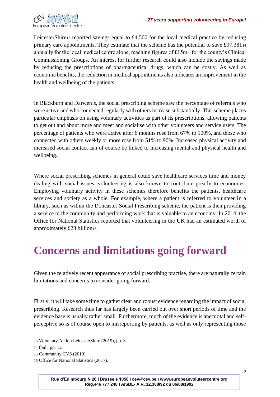

LeicesterShire<sub>13</sub> reported savings equal to  $\text{\pounds}4,500$  for the local medical practice by reducing primary care appointments. They estimate that the scheme has the potential to save £97,381<sup>14</sup> annually for the local medical centre alone, reaching figures of £15m+ for the county's Clinical Commissioning Groups. An interest for further research could also include the savings made by reducing the prescriptions of pharmaceutical drugs, which can be costly. As well as economic benefits, the reduction in medical appointments also indicates an improvement in the health and wellbeing of the patients.

In Blackburn and Darwen15, the social prescribing scheme saw the percentage of referrals who were active and who connected regularly with others increase substantially. This scheme places particular emphasis on using voluntary activities as part of its prescriptions, allowing patients to get out and about more and meet and socialise with other volunteers and service users. The percentage of patients who were active after 6 months rose from 67% to 100%, and those who connected with others weekly or more rose from 51% to 90%. Increased physical activity and increased social contact can of course be linked to increasing mental and physical health and wellbeing.

Where social prescribing schemes in general could save healthcare services time and money dealing with social issues, volunteering is also known to contribute greatly to economies. Employing voluntary activity in these schemes therefore benefits the patients, healthcare services and society as a whole. For example, where a patient is referred to volunteer in a library, such as within the Doncaster Social Prescribing scheme, the patient is then providing a service to the community and performing work that is valuable to an economy. In 2014, the Office for National Statistics reported that volunteering in the UK had an estimated worth of approximately £23 billion16.

#### <span id="page-6-0"></span>**Concerns and limitations going forward**

Given the relatively recent appearance of social prescribing practise, there are naturally certain limitations and concerns to consider going forward.

Firstly, it will take some time to gather clear and robust evidence regarding the impact of social prescribing. Research thus far has largely been carried out over short periods of time and the evidence base is usually rather small. Furthermore, much of the evidence is anecdotal and selfperceptive so is of course open to misreporting by patients, as well as only representing those

13 Voluntary Action LeicesterShire (2019), pp. 3

16 Office for National Statistics (2017).

<sup>14</sup> Ibid., pp. 12.

<sup>15</sup> Community CVS (2019).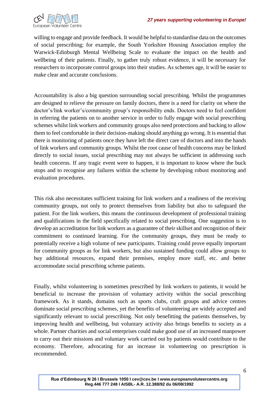

willing to engage and provide feedback. It would be helpful to standardise data on the outcomes of social prescribing; for example, the South Yorkshire Housing Association employ the Warwick-Edinburgh Mental Wellbeing Scale to evaluate the impact on the health and wellbeing of their patients. Finally, to gather truly robust evidence, it will be necessary for researchers to incorporate control groups into their studies. As schemes age, it will be easier to make clear and accurate conclusions.

Accountability is also a big question surrounding social prescribing. Whilst the programmes are designed to relieve the pressure on family doctors, there is a need for clarity on where the doctor's/link worker's/community group's responsibility ends. Doctors need to feel confident in referring the patients on to another service in order to fully engage with social prescribing schemes whilst link workers and community groups also need protections and backing to allow them to feel comfortable in their decision-making should anything go wrong. It is essential that there is monitoring of patients once they have left the direct care of doctors and into the hands of link workers and community groups. Whilst the root cause of health concerns may be linked directly to social issues, social prescribing may not always be sufficient in addressing such health concerns. If any tragic event were to happen, it is important to know where the buck stops and to recognise any failures within the scheme by developing robust monitoring and evaluation procedures.

This risk also necessitates sufficient training for link workers and a readiness of the receiving community groups, not only to protect themselves from liability but also to safeguard the patient. For the link workers, this means the continuous development of professional training and qualifications in the field specifically related to social prescribing. One suggestion is to develop an accreditation for link workers as a guarantee of their skillset and recognition of their commitment to continued learning. For the community groups, they must be ready to potentially receive a high volume of new participants. Training could prove equally important for community groups as for link workers, but also sustained funding could allow groups to buy additional resources, expand their premises, employ more staff, etc. and better accommodate social prescribing scheme patients.

Finally, whilst volunteering is sometimes prescribed by link workers to patients, it would be beneficial to increase the provision of voluntary activity within the social prescribing framework. As it stands, domains such as sports clubs, craft groups and advice centres dominate social prescribing schemes, yet the benefits of volunteering are widely accepted and significantly relevant to social prescribing. Not only benefitting the patients themselves, by improving health and wellbeing, but voluntary activity also brings benefits to society as a whole. Partner charities and social enterprises could make good use of an increased manpower to carry out their missions and voluntary work carried out by patients would contribute to the economy. Therefore, advocating for an increase in volunteering on prescription is recommended.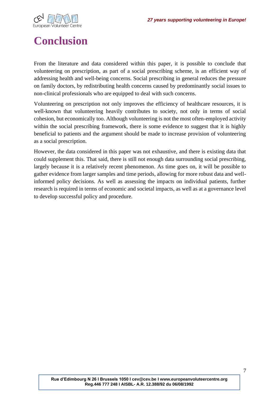

# <span id="page-8-0"></span>**Conclusion**

From the literature and data considered within this paper, it is possible to conclude that volunteering on prescription, as part of a social prescribing scheme, is an efficient way of addressing health and well-being concerns. Social prescribing in general reduces the pressure on family doctors, by redistributing health concerns caused by predominantly social issues to non-clinical professionals who are equipped to deal with such concerns.

Volunteering on prescription not only improves the efficiency of healthcare resources, it is well-known that volunteering heavily contributes to society, not only in terms of social cohesion, but economically too. Although volunteering is not the most often-employed activity within the social prescribing framework, there is some evidence to suggest that it is highly beneficial to patients and the argument should be made to increase provision of volunteering as a social prescription.

However, the data considered in this paper was not exhaustive, and there is existing data that could supplement this. That said, there is still not enough data surrounding social prescribing, largely because it is a relatively recent phenomenon. As time goes on, it will be possible to gather evidence from larger samples and time periods, allowing for more robust data and wellinformed policy decisions. As well as assessing the impacts on individual patients, further research is required in terms of economic and societal impacts, as well as at a governance level to develop successful policy and procedure.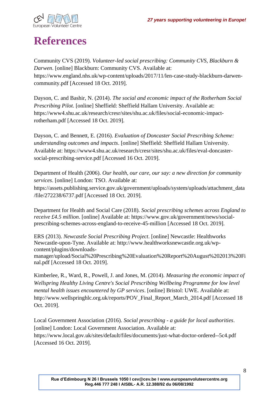

# <span id="page-9-0"></span>**References**

Community CVS (2019). *Volunteer-led social prescribing: Community CVS, Blackburn & Darwen*. [online] Blackburn: Community CVS. Available at: https://www.england.nhs.uk/wp-content/uploads/2017/11/len-case-study-blackburn-darwencommunity.pdf [Accessed 18 Oct. 2019].

Dayson, C. and Bashir, N. (2014). *The social and economic impact of the Rotherham Social Prescribing Pilot*. [online] Sheffield: Sheffield Hallam University. Available at: https://www4.shu.ac.uk/research/cresr/sites/shu.ac.uk/files/social-economic-impactrotherham.pdf [Accessed 18 Oct. 2019].

Dayson, C. and Bennett, E. (2016). *Evaluation of Doncaster Social Prescribing Scheme: understanding outcomes and impacts*. [online] Sheffield: Sheffield Hallam University. Available at: https://www4.shu.ac.uk/research/cresr/sites/shu.ac.uk/files/eval-doncastersocial-prescribing-service.pdf [Accessed 16 Oct. 2019].

Department of Health (2006). *Our health, our care, our say: a new direction for community services*. [online] London: TSO. Available at: https://assets.publishing.service.gov.uk/government/uploads/system/uploads/attachment\_data /file/272238/6737.pdf [Accessed 18 Oct. 2019].

Department for Health and Social Care (2018). *Social prescribing schemes across England to receive £4.5 million*. [online] Available at: https://www.gov.uk/government/news/socialprescribing-schemes-across-england-to-receive-45-million [Accessed 18 Oct. 2019].

ERS (2013). *Newcastle Social Prescribing Project*. [online] Newcastle: Healthworks Newcastle-upon-Tyne. Available at: http://www.healthworksnewcastle.org.uk/wpcontent/plugins/downloadsmanager/upload/Social%20Prescribing%20Evaluation%20Report%20August%202013%20Fi

nal.pdf [Accessed 18 Oct. 2019].

Kimberlee, R., Ward, R., Powell, J. and Jones, M. (2014). *Measuring the economic impact of Wellspring Healthy Living Centre's Social Prescribing Wellbeing Programme for low level mental health issues encountered by GP services*. [online] Bristol: UWE. Available at: http://www.wellspringhlc.org.uk/reports/POV\_Final\_Report\_March\_2014.pdf [Accessed 18] Oct. 2019].

Local Government Association (2016). *Social prescribing - a guide for local authorities*. [online] London: Local Government Association. Available at: https://www.local.gov.uk/sites/default/files/documents/just-what-doctor-ordered--5c4.pdf [Accessed 16 Oct. 2019].